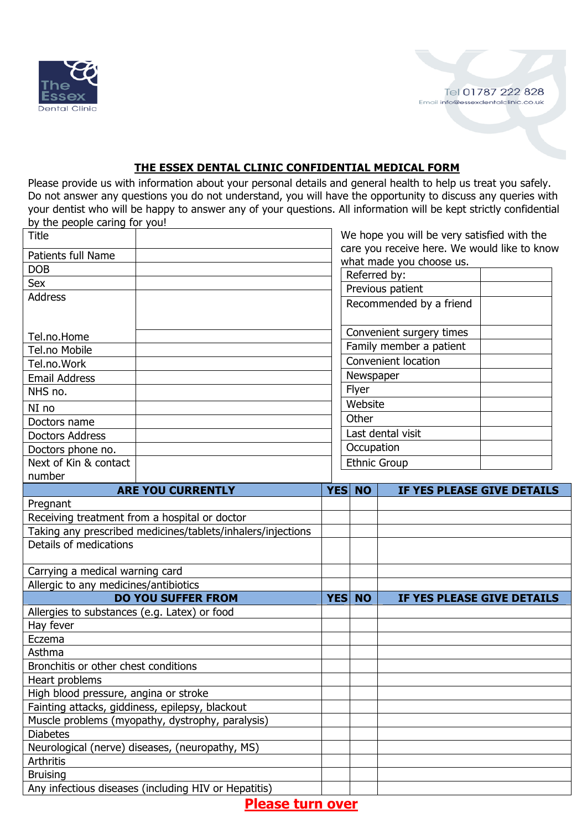

## **THE ESSEX DENTAL CLINIC CONFIDENTIAL MEDICAL FORM**

Please provide us with information about your personal details and general health to help us treat you safely. Do not answer any questions you do not understand, you will have the opportunity to discuss any queries with your dentist who will be happy to answer any of your questions. All information will be kept strictly confidential by the people caring for you!

| Title                                                       |                         |                  | We hope you will be very satisfied with the  |  |
|-------------------------------------------------------------|-------------------------|------------------|----------------------------------------------|--|
| <b>Patients full Name</b>                                   |                         |                  | care you receive here. We would like to know |  |
| <b>DOB</b>                                                  |                         |                  | what made you choose us.                     |  |
| Sex                                                         |                         |                  | Referred by:                                 |  |
|                                                             |                         | Previous patient |                                              |  |
| <b>Address</b>                                              |                         |                  | Recommended by a friend                      |  |
| Tel.no.Home                                                 |                         |                  | Convenient surgery times                     |  |
| Tel.no Mobile                                               | Family member a patient |                  |                                              |  |
| Tel.no.Work                                                 |                         |                  | Convenient location                          |  |
| <b>Email Address</b>                                        |                         | Newspaper        |                                              |  |
| NHS no.                                                     |                         | Flyer            |                                              |  |
| NI no                                                       |                         | Website          |                                              |  |
| Doctors name                                                |                         | Other            |                                              |  |
| <b>Doctors Address</b>                                      |                         |                  | Last dental visit                            |  |
| Doctors phone no.                                           |                         | Occupation       |                                              |  |
| Next of Kin & contact                                       |                         |                  | <b>Ethnic Group</b>                          |  |
| number                                                      |                         |                  |                                              |  |
| <b>ARE YOU CURRENTLY</b>                                    | <b>YES</b>              | <b>NO</b>        | IF YES PLEASE GIVE DETAILS                   |  |
| Pregnant                                                    |                         |                  |                                              |  |
| Receiving treatment from a hospital or doctor               |                         |                  |                                              |  |
| Taking any prescribed medicines/tablets/inhalers/injections |                         |                  |                                              |  |
| Details of medications                                      |                         |                  |                                              |  |
| Carrying a medical warning card                             |                         |                  |                                              |  |
| Allergic to any medicines/antibiotics                       |                         |                  |                                              |  |
| <b>DO YOU SUFFER FROM</b>                                   |                         | <b>YES NO</b>    | IF YES PLEASE GIVE DETAILS                   |  |
| Allergies to substances (e.g. Latex) or food                |                         |                  |                                              |  |
| Hay fever                                                   |                         |                  |                                              |  |
| Eczema                                                      |                         |                  |                                              |  |
| Asthma                                                      |                         |                  |                                              |  |
| Bronchitis or other chest conditions                        |                         |                  |                                              |  |
| Heart problems                                              |                         |                  |                                              |  |
| High blood pressure, angina or stroke                       |                         |                  |                                              |  |
| Fainting attacks, giddiness, epilepsy, blackout             |                         |                  |                                              |  |
| Muscle problems (myopathy, dystrophy, paralysis)            |                         |                  |                                              |  |
| <b>Diabetes</b>                                             |                         |                  |                                              |  |
| Neurological (nerve) diseases, (neuropathy, MS)             |                         |                  |                                              |  |
| Arthritis                                                   |                         |                  |                                              |  |
| <b>Bruising</b>                                             |                         |                  |                                              |  |
| Any infectious diseases (including HIV or Hepatitis)        |                         |                  |                                              |  |
|                                                             |                         |                  |                                              |  |